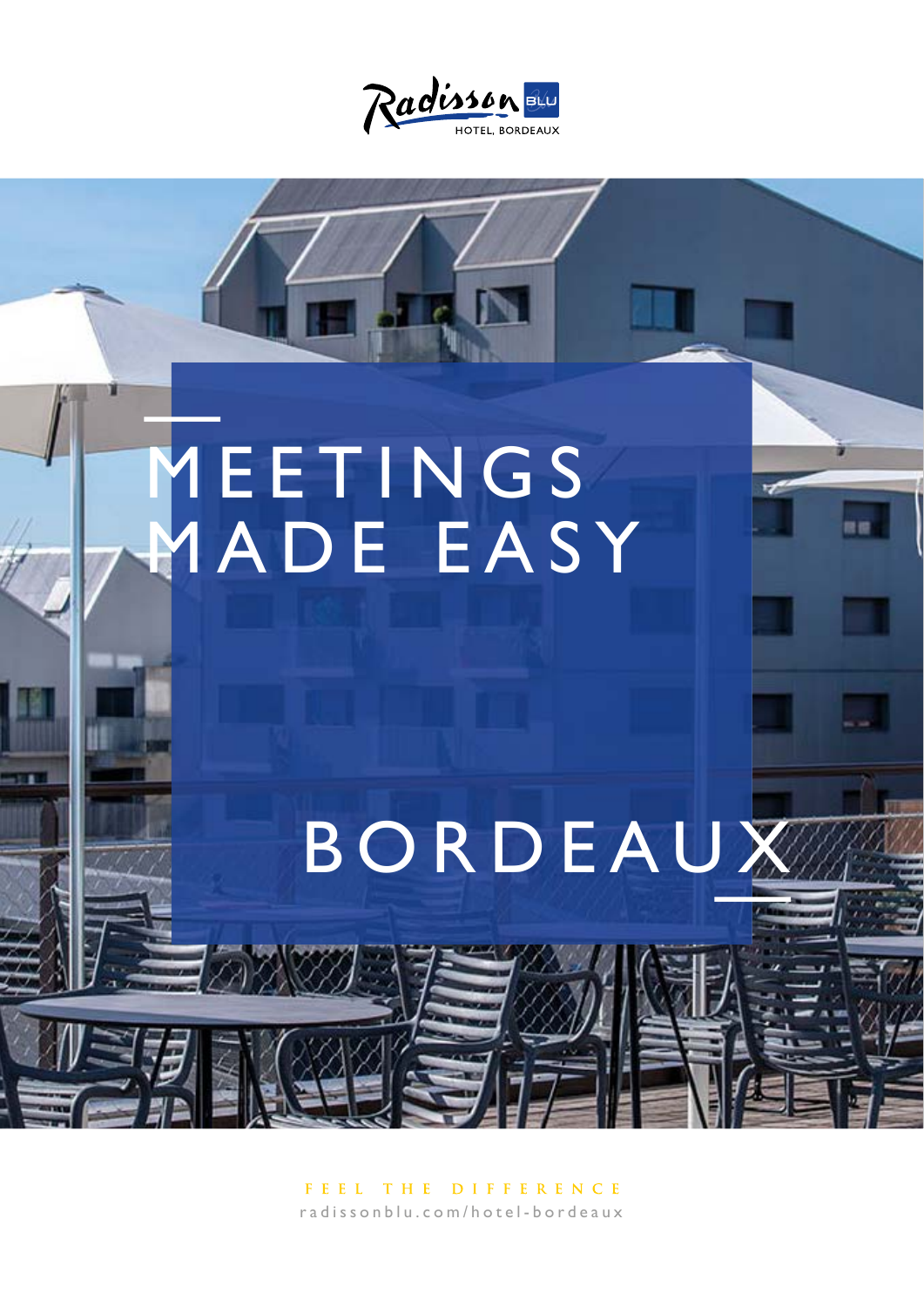

# MEETINGS<br>MADE EASY

# BORDEAUX

FEEL THE DIFFERENCE radissonblu.com/hotel-bordeaux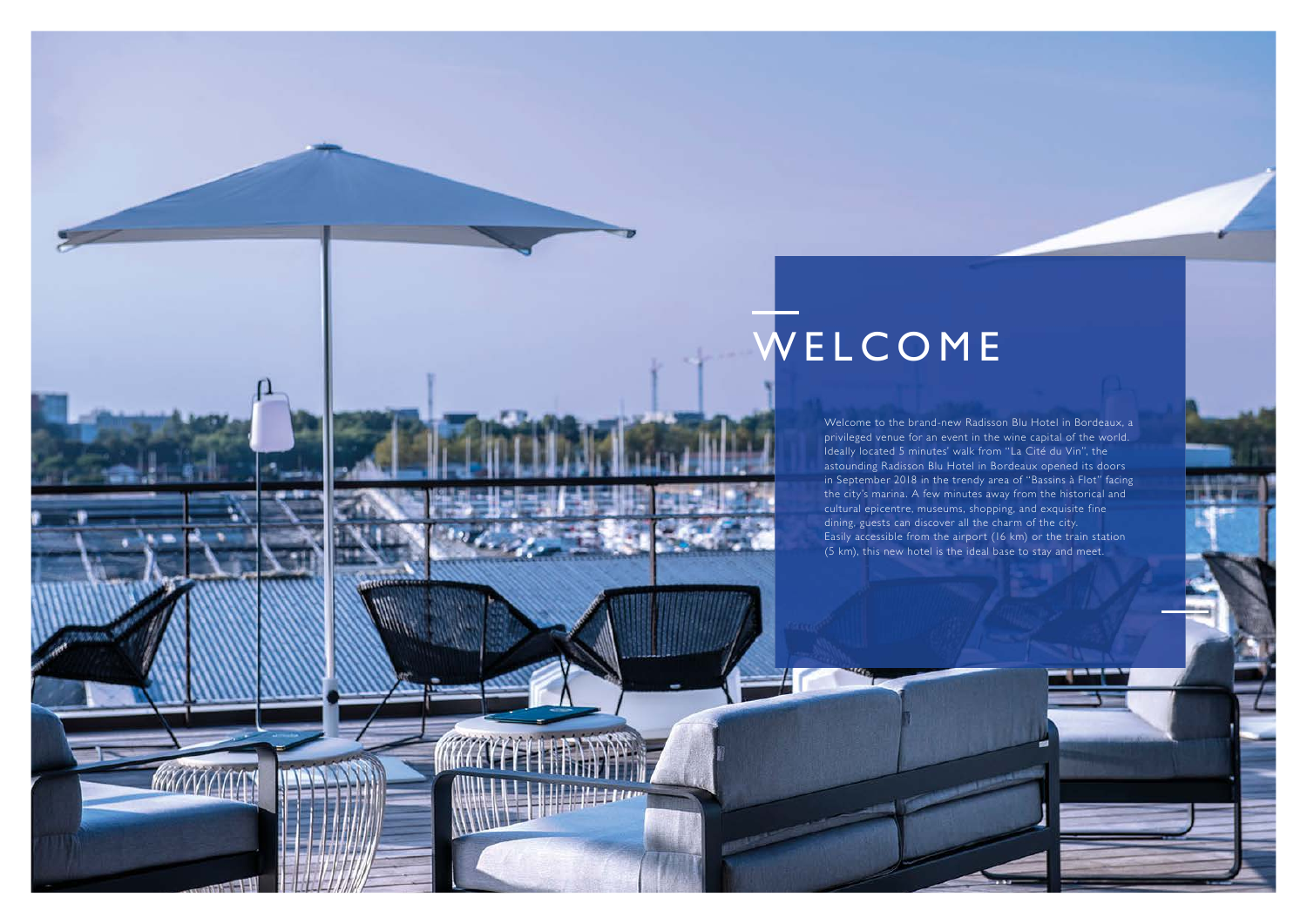Welcome to the brand-new Radisson Blu Hotel in Bordeaux, a privileged venue for an event in the wine capital of the world. Ideally located 5 minutes' walk from "La Cité du Vin", the astounding Radisson Blu Hotel in Bordeaux opened its doors in September 2018 in the trendy area of "Bassins à Flot" facing the city's marina. A few minutes away from the historical and cultural epicentre, museums, shopping, and exquisite fine dining, guests can discover all the charm of the city. Easily accessible from the airport (16 km) or the train station (5 km), this new hotel is the ideal base to stay and meet.

# WELCOME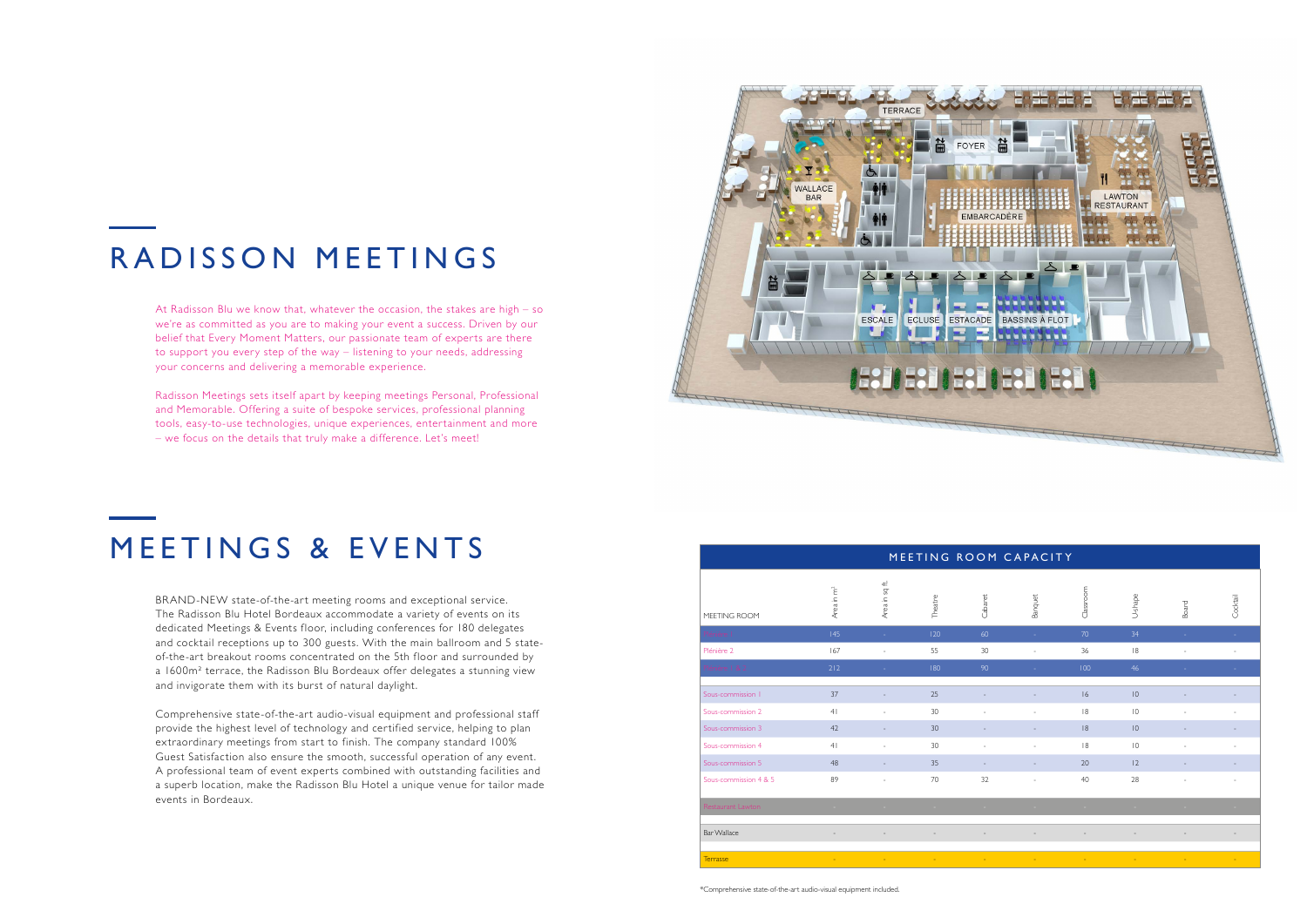At Radisson Blu we know that, whatever the occasion, the stakes are high – so we're as committed as you are to making your event a success. Driven by our belief that Every Moment Matters, our passionate team of experts are there to support you every step of the way – listening to your needs, addressing your concerns and delivering a memorable experience.

Radisson Meetings sets itself apart by keeping meetings Personal, Professional and Memorable. Offering a suite of bespoke services, professional planning tools, easy-to-use technologies, unique experiences, entertainment and more – we focus on the details that truly make a difference. Let's meet!



## RADISSON MEETINGS

BRAND-NEW state-of-the-art meeting rooms and exceptional service. The Radisson Blu Hotel Bordeaux accommodate a variety of events on its dedicated Meetings & Events floor, including conferences for 180 delegates and cocktail receptions up to 300 guests. With the main ballroom and 5 stateof-the-art breakout rooms concentrated on the 5th floor and surrounded by a 1600m² terrace, the Radisson Blu Bordeaux offer delegates a stunning view and invigorate them with its burst of natural daylight.

Comprehensive state-of-the-art audio-visual equipment and professional staff provide the highest level of technology and certified service, helping to plan extraordinary meetings from start to finish. The company standard 100% Guest Satisfaction also ensure the smooth, successful operation of any event. A professional team of event experts combined with outstanding facilities and a superb location, make the Radisson Blu Hotel a unique venue for tailor made events in Bordeaux.

### MEETINGS & EVENTS

| MEETING ROOM CAPACITY |                          |                          |                               |           |                          |            |                 |                |          |
|-----------------------|--------------------------|--------------------------|-------------------------------|-----------|--------------------------|------------|-----------------|----------------|----------|
| MEETING ROOM          | Area in m <sup>2</sup>   | Area in sq ft.           | Theatre                       | Cabaret   | Banquet                  | Classroom  | U-shape         | Board          | Cocktail |
| Plénière              | 145                      | ÷                        | 120                           | 60        |                          | 70         | 34              |                |          |
| Plénière 2            | 167                      | ÷,                       | 55                            | 30        |                          | 36         | 8               | L,             |          |
| Plénière   & 2        | 212                      | ч.                       | 180                           | 90        |                          | 100        | 46              |                |          |
| Sous-commission       | 37                       |                          | 25                            |           |                          | 16         | $\overline{10}$ |                |          |
| Sous-commission 2     | 4 <sub>1</sub>           | $\overline{\phantom{a}}$ | 30                            |           |                          | 8          | $\overline{10}$ |                |          |
| Sous-commission 3     | 42                       |                          | 30                            |           |                          | 8          | 10              |                |          |
| Sous-commission 4     | 4 <sub>1</sub>           | $\bar{a}$                | 30                            | $\sim$    | $\sim$                   | 8          | $\overline{0}$  | ä,             | $\sim$   |
| Sous-commission 5     | 48                       | $\overline{a}$           | 35                            |           |                          | 20         | 2               |                |          |
| Sous-commission 4 & 5 | 89                       | $\sim$                   | 70                            | 32        | $\overline{\phantom{a}}$ | 40         | 28              | ٠              | $\sim$   |
| Restaurant Lawton     | $\sim 10$                | $\sim$                   | <b>Contract</b>               | $\sim 10$ | <b>College</b>           | $\sim$     | $\sim$          | <b>Service</b> | $\sim$   |
| <b>Bar Wallace</b>    | $\overline{\phantom{a}}$ | $\overline{\phantom{a}}$ | $\overline{\phantom{a}}$      |           |                          |            |                 |                |          |
| <b>Terrasse</b>       | $\sim$                   | <b>Contract Contract</b> | and the state of the state of | mar.      | $\sim$                   | $\sim 100$ | $\sim$          | $\sim$         | $\sim$   |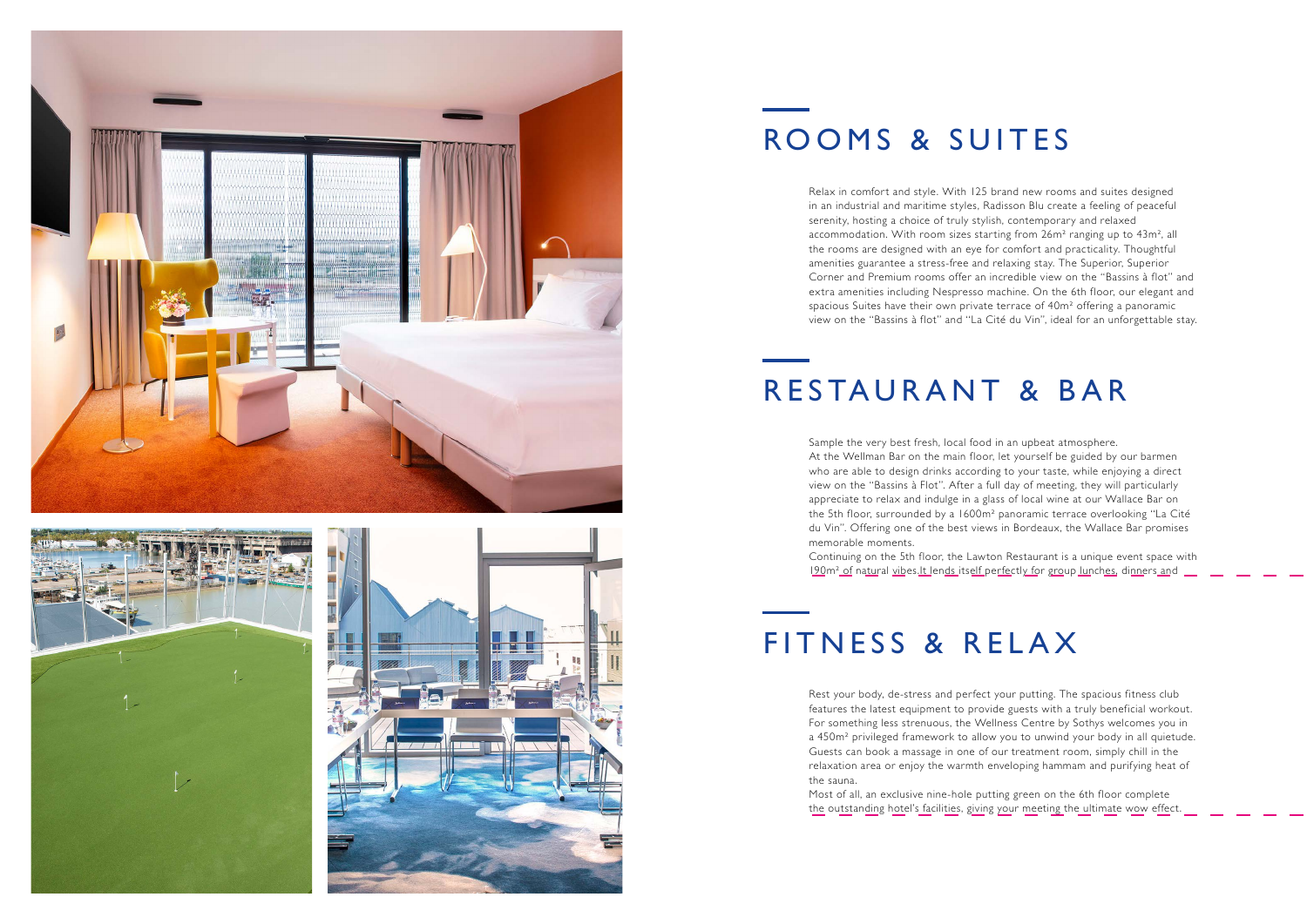Relax in comfort and style. With 125 brand new rooms and suites designed in an industrial and maritime styles, Radisson Blu create a feeling of peaceful serenity, hosting a choice of truly stylish, contemporary and relaxed accommodation. With room sizes starting from 26m² ranging up to 43m², all the rooms are designed with an eye for comfort and practicality. Thoughtful amenities guarantee a stress-free and relaxing stay. The Superior, Superior Corner and Premium rooms offer an incredible view on the "Bassins à flot" and extra amenities including Nespresso machine. On the 6th floor, our elegant and spacious Suites have their own private terrace of 40m² offering a panoramic view on the "Bassins à flot" and "La Cité du Vin", ideal for an unforgettable stay.

Rest your body, de-stress and perfect your putting. The spacious fitness club features the latest equipment to provide guests with a truly beneficial workout. For something less strenuous, the Wellness Centre by Sothys welcomes you in a 450m<sup>2</sup> privileged framework to allow you to unwind your body in all quietude. Guests can book a massage in one of our treatment room, simply chill in the relaxation area or enjoy the warmth enveloping hammam and purifying heat of the sauna.

Most of all, an exclusive nine-hole putting green on the 6th floor complete the outstanding hotel's facilities, giving your meeting the ultimate wow effect.

Sample the very best fresh, local food in an upbeat atmosphere. At the Wellman Bar on the main floor, let yourself be guided by our barmen who are able to design drinks according to your taste, while enjoying a direct view on the "Bassins à Flot". After a full day of meeting, they will particularly appreciate to relax and indulge in a glass of local wine at our Wallace Bar on the 5th floor, surrounded by a 1600m² panoramic terrace overlooking "La Cité du Vin". Offering one of the best views in Bordeaux, the Wallace Bar promises memorable moments.

Continuing on the 5th floor, the Lawton Restaurant is a unique event space with 190m² of natural vibes.It lends itself perfectly for group lunches, dinners and







# ROOMS & SUITES

# FITNESS & RELAX

# RESTAURANT & BAR